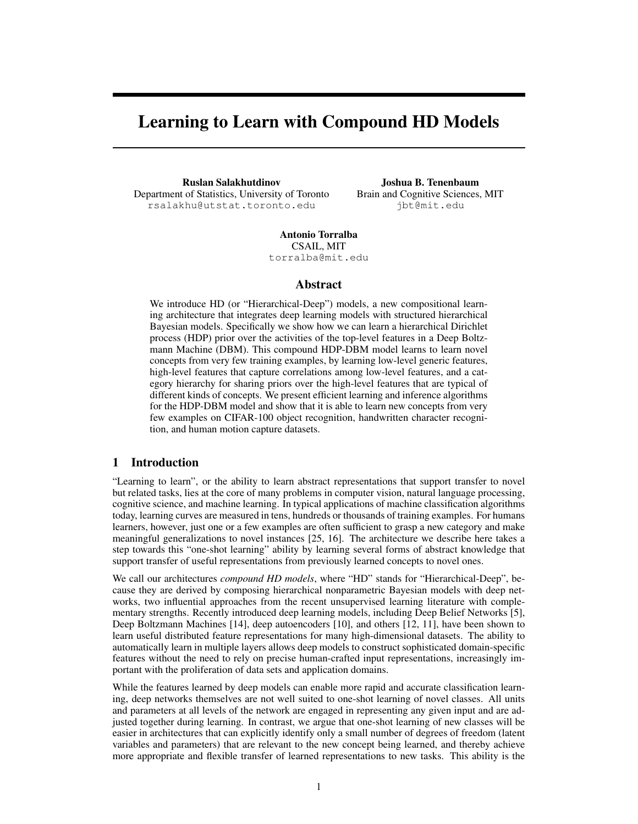# Learning to Learn with Compound HD Models

Ruslan Salakhutdinov Department of Statistics, University of Toronto rsalakhu@utstat.toronto.edu

Joshua B. Tenenbaum Brain and Cognitive Sciences, MIT jbt@mit.edu

Antonio Torralba CSAIL, MIT torralba@mit.edu

## Abstract

We introduce HD (or "Hierarchical-Deep") models, a new compositional learning architecture that integrates deep learning models with structured hierarchical Bayesian models. Specifically we show how we can learn a hierarchical Dirichlet process (HDP) prior over the activities of the top-level features in a Deep Boltzmann Machine (DBM). This compound HDP-DBM model learns to learn novel concepts from very few training examples, by learning low-level generic features, high-level features that capture correlations among low-level features, and a category hierarchy for sharing priors over the high-level features that are typical of different kinds of concepts. We present efficient learning and inference algorithms for the HDP-DBM model and show that it is able to learn new concepts from very few examples on CIFAR-100 object recognition, handwritten character recognition, and human motion capture datasets.

# 1 Introduction

"Learning to learn", or the ability to learn abstract representations that support transfer to novel but related tasks, lies at the core of many problems in computer vision, natural language processing, cognitive science, and machine learning. In typical applications of machine classification algorithms today, learning curves are measured in tens, hundreds or thousands of training examples. For humans learners, however, just one or a few examples are often sufficient to grasp a new category and make meaningful generalizations to novel instances [25, 16]. The architecture we describe here takes a step towards this "one-shot learning" ability by learning several forms of abstract knowledge that support transfer of useful representations from previously learned concepts to novel ones.

We call our architectures *compound HD models*, where "HD" stands for "Hierarchical-Deep", because they are derived by composing hierarchical nonparametric Bayesian models with deep networks, two influential approaches from the recent unsupervised learning literature with complementary strengths. Recently introduced deep learning models, including Deep Belief Networks [5], Deep Boltzmann Machines [14], deep autoencoders [10], and others [12, 11], have been shown to learn useful distributed feature representations for many high-dimensional datasets. The ability to automatically learn in multiple layers allows deep models to construct sophisticated domain-specific features without the need to rely on precise human-crafted input representations, increasingly important with the proliferation of data sets and application domains.

While the features learned by deep models can enable more rapid and accurate classification learning, deep networks themselves are not well suited to one-shot learning of novel classes. All units and parameters at all levels of the network are engaged in representing any given input and are adjusted together during learning. In contrast, we argue that one-shot learning of new classes will be easier in architectures that can explicitly identify only a small number of degrees of freedom (latent variables and parameters) that are relevant to the new concept being learned, and thereby achieve more appropriate and flexible transfer of learned representations to new tasks. This ability is the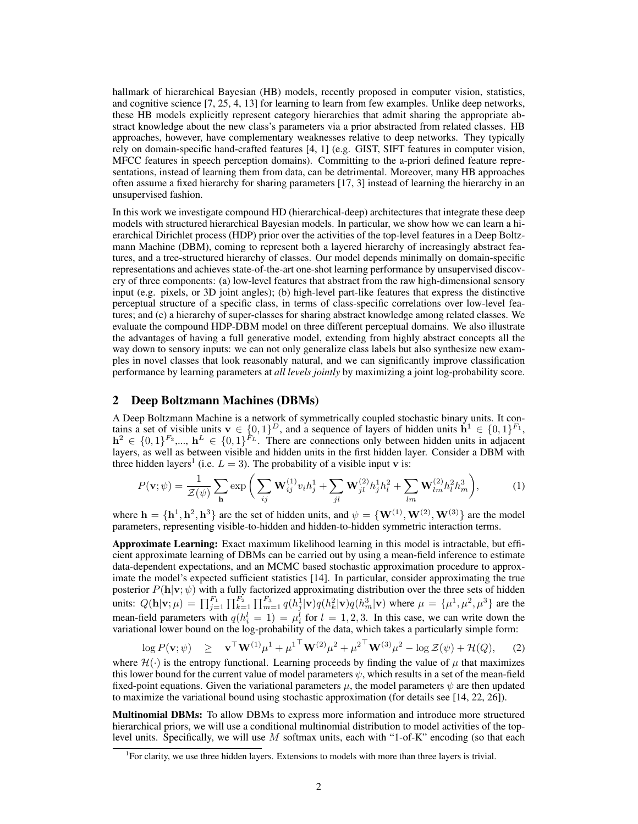hallmark of hierarchical Bayesian (HB) models, recently proposed in computer vision, statistics, and cognitive science [7, 25, 4, 13] for learning to learn from few examples. Unlike deep networks, these HB models explicitly represent category hierarchies that admit sharing the appropriate abstract knowledge about the new class's parameters via a prior abstracted from related classes. HB approaches, however, have complementary weaknesses relative to deep networks. They typically rely on domain-specific hand-crafted features [4, 1] (e.g. GIST, SIFT features in computer vision, MFCC features in speech perception domains). Committing to the a-priori defined feature representations, instead of learning them from data, can be detrimental. Moreover, many HB approaches often assume a fixed hierarchy for sharing parameters [17, 3] instead of learning the hierarchy in an unsupervised fashion.

In this work we investigate compound HD (hierarchical-deep) architectures that integrate these deep models with structured hierarchical Bayesian models. In particular, we show how we can learn a hierarchical Dirichlet process (HDP) prior over the activities of the top-level features in a Deep Boltzmann Machine (DBM), coming to represent both a layered hierarchy of increasingly abstract features, and a tree-structured hierarchy of classes. Our model depends minimally on domain-specific representations and achieves state-of-the-art one-shot learning performance by unsupervised discovery of three components: (a) low-level features that abstract from the raw high-dimensional sensory input (e.g. pixels, or 3D joint angles); (b) high-level part-like features that express the distinctive perceptual structure of a specific class, in terms of class-specific correlations over low-level features; and (c) a hierarchy of super-classes for sharing abstract knowledge among related classes. We evaluate the compound HDP-DBM model on three different perceptual domains. We also illustrate the advantages of having a full generative model, extending from highly abstract concepts all the way down to sensory inputs: we can not only generalize class labels but also synthesize new examples in novel classes that look reasonably natural, and we can significantly improve classification performance by learning parameters at *all levels jointly* by maximizing a joint log-probability score.

## 2 Deep Boltzmann Machines (DBMs)

A Deep Boltzmann Machine is a network of symmetrically coupled stochastic binary units. It contains a set of visible units  $\mathbf{v} \in \{0,1\}^D$ , and a sequence of layers of hidden units  $\mathbf{h}^1 \in \{0,1\}^{F_1}$ ,  $h^2 \in \{0,1\}^{F_2}$ ,...,  $h^L \in \{0,1\}^{F_L}$ . There are connections only between hidden units in adjacent layers, as well as between visible and hidden units in the first hidden layer. Consider a DBM with three hidden layers<sup>1</sup> (i.e.  $L = 3$ ). The probability of a visible input **v** is:

$$
P(\mathbf{v};\psi) = \frac{1}{\mathcal{Z}(\psi)} \sum_{\mathbf{h}} \exp\bigg(\sum_{ij} \mathbf{W}_{ij}^{(1)} v_i h_j^1 + \sum_{jl} \mathbf{W}_{jl}^{(2)} h_j^1 h_l^2 + \sum_{lm} \mathbf{W}_{lm}^{(2)} h_l^2 h_m^3\bigg),\tag{1}
$$

where  $\mathbf{h} = \{\mathbf{h}^1, \mathbf{h}^2, \mathbf{h}^3\}$  are the set of hidden units, and  $\psi = \{\mathbf{W}^{(1)}, \mathbf{W}^{(2)}, \mathbf{W}^{(3)}\}$  are the model parameters, representing visible-to-hidden and hidden-to-hidden symmetric interaction terms.

Approximate Learning: Exact maximum likelihood learning in this model is intractable, but efficient approximate learning of DBMs can be carried out by using a mean-field inference to estimate data-dependent expectations, and an MCMC based stochastic approximation procedure to approximate the model's expected sufficient statistics [14]. In particular, consider approximating the true posterior  $P(\mathbf{h}|\mathbf{v};\psi)$  with a fully factorized approximating distribution over the three sets of hidden units:  $Q(\mathbf{h}|\mathbf{v};\mu) = \prod_{j=1}^{F_1} \prod_{k=1}^{F_2} \prod_{m=1}^{F_3} q(h_j^1|\mathbf{v}) q(h_k^2|\mathbf{v}) q(h_m^3|\mathbf{v})$  where  $\mu = {\mu^1, \mu^2, \mu^3}$  are the mean-field parameters with  $q(h_i^l = 1) = \mu_i^l$  for  $l = 1, 2, 3$ . In this case, we can write down the variational lower bound on the log-probability of the data, which takes a particularly simple form:

$$
\log P(\mathbf{v};\psi) \geq \mathbf{v}^{\top}\mathbf{W}^{(1)}\mu^{1} + {\mu^{1}}^{\top}\mathbf{W}^{(2)}\mu^{2} + {\mu^{2}}^{\top}\mathbf{W}^{(3)}\mu^{2} - \log \mathcal{Z}(\psi) + \mathcal{H}(Q), \quad (2)
$$

where  $\mathcal{H}(\cdot)$  is the entropy functional. Learning proceeds by finding the value of  $\mu$  that maximizes this lower bound for the current value of model parameters  $\psi$ , which results in a set of the mean-field fixed-point equations. Given the variational parameters  $\mu$ , the model parameters  $\psi$  are then updated to maximize the variational bound using stochastic approximation (for details see [14, 22, 26]).

Multinomial DBMs: To allow DBMs to express more information and introduce more structured hierarchical priors, we will use a conditional multinomial distribution to model activities of the toplevel units. Specifically, we will use M softmax units, each with "1-of-K" encoding (so that each

<sup>&</sup>lt;sup>1</sup> For clarity, we use three hidden layers. Extensions to models with more than three layers is trivial.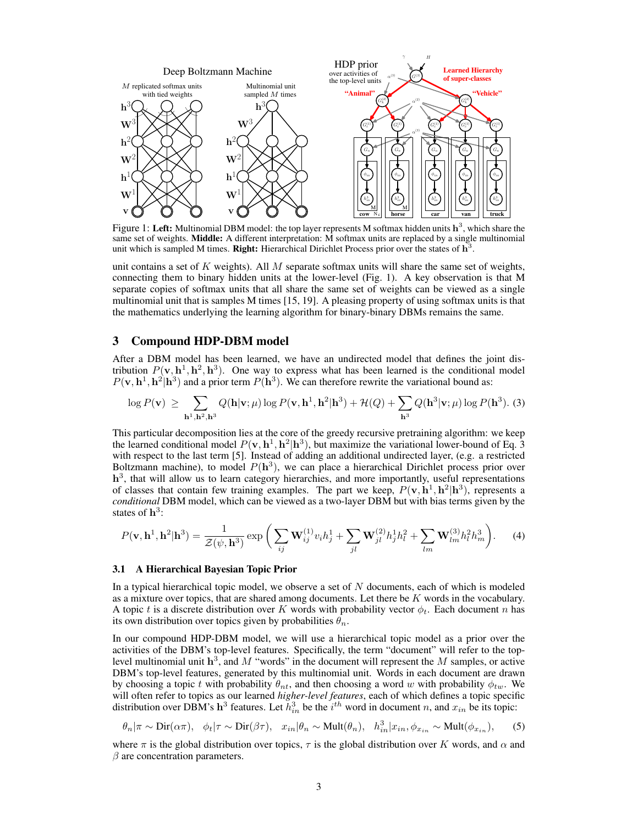

Figure 1: Left: Multinomial DBM model: the top layer represents M softmax hidden units  $h^3$ , which share the same set of weights. Middle: A different interpretation: M softmax units are replaced by a single multinomial unit which is sampled M times. Right: Hierarchical Dirichlet Process prior over the states of  $\overline{\mathbf{h}^3}$ .

unit contains a set of K weights). All M separate softmax units will share the same set of weights, connecting them to binary hidden units at the lower-level (Fig. 1). A key observation is that M separate copies of softmax units that all share the same set of weights can be viewed as a single multinomial unit that is samples M times [15, 19]. A pleasing property of using softmax units is that the mathematics underlying the learning algorithm for binary-binary DBMs remains the same.

# 3 Compound HDP-DBM model

After a DBM model has been learned, we have an undirected model that defines the joint distribution  $P(\mathbf{v}, \mathbf{h}^1, \mathbf{h}^2, \mathbf{h}^3)$ . One way to express what has been learned is the conditional model  $P(\mathbf{v}, \mathbf{h}^1, \mathbf{h}^2 | \mathbf{h}^3)$  and a prior term  $P(\mathbf{h}^3)$ . We can therefore rewrite the variational bound as:

$$
\log P(\mathbf{v}) \ge \sum_{\mathbf{h}^1, \mathbf{h}^2, \mathbf{h}^3} Q(\mathbf{h}|\mathbf{v}; \mu) \log P(\mathbf{v}, \mathbf{h}^1, \mathbf{h}^2 | \mathbf{h}^3) + \mathcal{H}(Q) + \sum_{\mathbf{h}^3} Q(\mathbf{h}^3|\mathbf{v}; \mu) \log P(\mathbf{h}^3). (3)
$$

This particular decomposition lies at the core of the greedy recursive pretraining algorithm: we keep the learned conditional model  $P(\mathbf{v}, \mathbf{h}^1, \mathbf{h}^2 | \mathbf{h}^3)$ , but maximize the variational lower-bound of Eq. 3 with respect to the last term [5]. Instead of adding an additional undirected layer, (e.g. a restricted Boltzmann machine), to model  $P(h^3)$ , we can place a hierarchical Dirichlet process prior over h<sup>3</sup>, that will allow us to learn category hierarchies, and more importantly, useful representations of classes that contain few training examples. The part we keep,  $P(\mathbf{v}, \mathbf{h}^1, \mathbf{h}^2 | \mathbf{h}^3)$ , represents a *conditional* DBM model, which can be viewed as a two-layer DBM but with bias terms given by the states of  $h^3$ :

$$
P(\mathbf{v}, \mathbf{h}^1, \mathbf{h}^2 | \mathbf{h}^3) = \frac{1}{\mathcal{Z}(\psi, \mathbf{h}^3)} \exp\bigg(\sum_{ij} \mathbf{W}_{ij}^{(1)} v_i h_j^1 + \sum_{jl} \mathbf{W}_{jl}^{(2)} h_j^1 h_l^2 + \sum_{lm} \mathbf{W}_{lm}^{(3)} h_l^2 h_m^3\bigg). \tag{4}
$$

#### 3.1 A Hierarchical Bayesian Topic Prior

In a typical hierarchical topic model, we observe a set of N documents, each of which is modeled as a mixture over topics, that are shared among documents. Let there be  $K$  words in the vocabulary. A topic t is a discrete distribution over K words with probability vector  $\phi_t$ . Each document n has its own distribution over topics given by probabilities  $\theta_n$ .

In our compound HDP-DBM model, we will use a hierarchical topic model as a prior over the activities of the DBM's top-level features. Specifically, the term "document" will refer to the toplevel multinomial unit  $h^3$ , and M "words" in the document will represent the M samples, or active DBM's top-level features, generated by this multinomial unit. Words in each document are drawn by choosing a topic t with probability  $\theta_{nt}$ , and then choosing a word w with probability  $\phi_{tw}$ . We will often refer to topics as our learned *higher-level features*, each of which defines a topic specific distribution over DBM's h<sup>3</sup> features. Let  $\tilde{h}_{in}^3$  be the  $i^{th}$  word in document n, and  $x_{in}$  be its topic:

$$
\theta_n|\pi \sim \text{Dir}(\alpha \pi)
$$
,  $\phi_t|\tau \sim \text{Dir}(\beta \tau)$ ,  $x_{in}|\theta_n \sim \text{Mult}(\theta_n)$ ,  $h_{in}^3|x_{in}, \phi_{x_{in}} \sim \text{Mult}(\phi_{x_{in}})$ , (5)

where  $\pi$  is the global distribution over topics,  $\tau$  is the global distribution over K words, and  $\alpha$  and  $\beta$  are concentration parameters.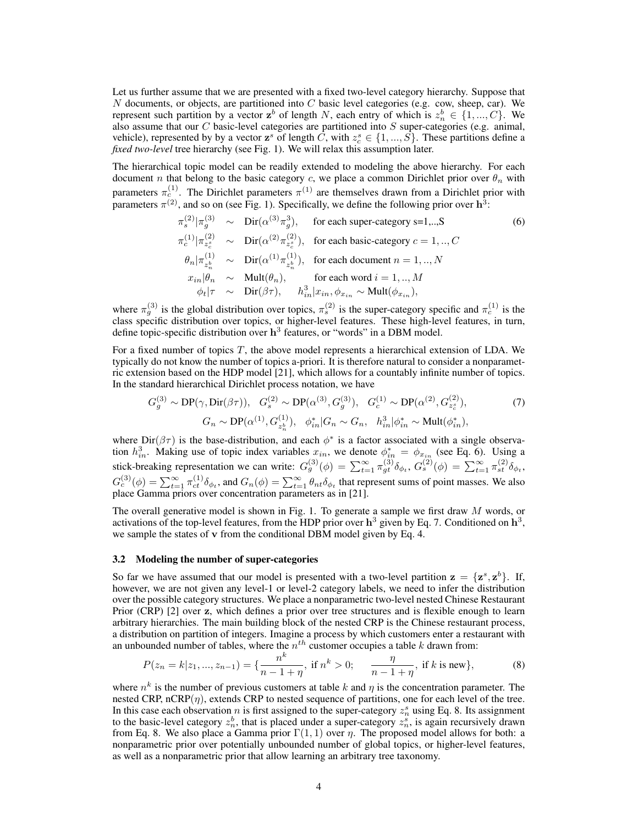Let us further assume that we are presented with a fixed two-level category hierarchy. Suppose that  $N$  documents, or objects, are partitioned into  $C$  basic level categories (e.g. cow, sheep, car). We represent such partition by a vector  $z^b$  of length N, each entry of which is  $z_n^b \in \{1, ..., C\}$ . We also assume that our C basic-level categories are partitioned into  $S$  super-categories (e.g. animal, vehicle), represented by by a vector  $z^s$  of length  $\tilde{C}$ , with  $z_c^s \in \{1, ..., \tilde{S}\}\$ . These partitions define a *fixed two-level* tree hierarchy (see Fig. 1). We will relax this assumption later.

The hierarchical topic model can be readily extended to modeling the above hierarchy. For each document n that belong to the basic category c, we place a common Dirichlet prior over  $\theta_n$  with parameters  $\pi_c^{(1)}$ . The Dirichlet parameters  $\pi^{(1)}$  are themselves drawn from a Dirichlet prior with parameters  $\pi^{(2)}$ , and so on (see Fig. 1). Specifically, we define the following prior over  $h^3$ :

$$
\pi_s^{(2)}|\pi_g^{(3)} \sim \text{Dir}(\alpha^{(3)}\pi_g^3), \quad \text{for each super-category s=1,...,S} \n\pi_c^{(1)}|\pi_{z_c^*}^{(2)} \sim \text{Dir}(\alpha^{(2)}\pi_{z_c^*}^{(2)}), \quad \text{for each basic-category } c = 1,..,C \n\theta_n|\pi_{z_n^*}^{(1)} \sim \text{Dir}(\alpha^{(1)}\pi_{z_n^*}^{(1)}), \quad \text{for each document } n = 1,..,N \nx_{in}|\theta_n \sim \text{Mult}(\theta_n), \quad \text{for each word } i = 1,..,M \n\phi_t|\tau \sim \text{Dir}(\beta\tau), \quad h_{in}^3|x_{in}, \phi_{x_{in}} \sim \text{Mult}(\phi_{x_{in}}),
$$
\n(6)

where  $\pi_g^{(3)}$  is the global distribution over topics,  $\pi_s^{(2)}$  is the super-category specific and  $\pi_c^{(1)}$  is the class specific distribution over topics, or higher-level features. These high-level features, in turn, define topic-specific distribution over  $h^3$  features, or "words" in a DBM model.

For a fixed number of topics  $T$ , the above model represents a hierarchical extension of LDA. We typically do not know the number of topics a-priori. It is therefore natural to consider a nonparametric extension based on the HDP model [21], which allows for a countably infinite number of topics. In the standard hierarchical Dirichlet process notation, we have

$$
G_g^{(3)} \sim \text{DP}(\gamma, \text{Dir}(\beta \tau)), \quad G_s^{(2)} \sim \text{DP}(\alpha^{(3)}, G_g^{(3)}), \quad G_c^{(1)} \sim \text{DP}(\alpha^{(2)}, G_{z_c^*}^{(2)}),
$$
  
\n
$$
G_n \sim \text{DP}(\alpha^{(1)}, G_{z_n^b}^{(1)}), \quad \phi_{in}^* | G_n \sim G_n, \quad h_{in}^3 | \phi_{in}^* \sim \text{Mult}(\phi_{in}^*),
$$
 (7)

where  $Dir(\beta \tau)$  is the base-distribution, and each  $\phi^*$  is a factor associated with a single observation  $h_{in}^3$ . Making use of topic index variables  $x_{in}$ , we denote  $\phi_{in}^* = \phi_{x_{in}}$  (see Eq. 6). Using a stick-breaking representation we can write:  $G_g^{(3)}(\phi) = \sum_{t=1}^{\infty} \pi_{gt}^{(3)} \delta_{\phi_t}$ ,  $G_s^{(2)}(\phi) = \sum_{t=1}^{\infty} \pi_{st}^{(2)} \delta_{\phi_t}$ ,  $G_c^{(3)}(\phi) = \sum_{t=1}^{\infty} \pi_{ct}^{(1)} \delta_{\phi_t}$ , and  $G_n(\phi) = \sum_{t=1}^{\infty} \theta_{nt} \delta_{\phi_t}$  that represent sums of point masses. We also place Gamma priors over concentration parameters as in [21].

The overall generative model is shown in Fig. 1. To generate a sample we first draw  $M$  words, or activations of the top-level features, from the HDP prior over  $h^3$  given by Eq. 7. Conditioned on  $h^3$ , we sample the states of v from the conditional DBM model given by Eq. 4.

#### 3.2 Modeling the number of super-categories

So far we have assumed that our model is presented with a two-level partition  $z = \{z^s, z^b\}$ . If, however, we are not given any level-1 or level-2 category labels, we need to infer the distribution over the possible category structures. We place a nonparametric two-level nested Chinese Restaurant Prior (CRP) [2] over z, which defines a prior over tree structures and is flexible enough to learn arbitrary hierarchies. The main building block of the nested CRP is the Chinese restaurant process, a distribution on partition of integers. Imagine a process by which customers enter a restaurant with an unbounded number of tables, where the  $n^{th}$  customer occupies a table k drawn from:

$$
P(z_n = k | z_1, ..., z_{n-1}) = \{ \frac{n^k}{n-1+\eta}, \text{ if } n^k > 0; \quad \frac{\eta}{n-1+\eta}, \text{ if } k \text{ is new} \},
$$
(8)

where  $n^k$  is the number of previous customers at table k and  $\eta$  is the concentration parameter. The nested CRP, nCRP $(\eta)$ , extends CRP to nested sequence of partitions, one for each level of the tree. In this case each observation *n* is first assigned to the super-category  $z_n^s$  using Eq. 8. Its assignment to the basic-level category  $z_n^b$ , that is placed under a super-category  $z_n^s$ , is again recursively drawn from Eq. 8. We also place a Gamma prior  $\Gamma(1, 1)$  over  $\eta$ . The proposed model allows for both: a nonparametric prior over potentially unbounded number of global topics, or higher-level features, as well as a nonparametric prior that allow learning an arbitrary tree taxonomy.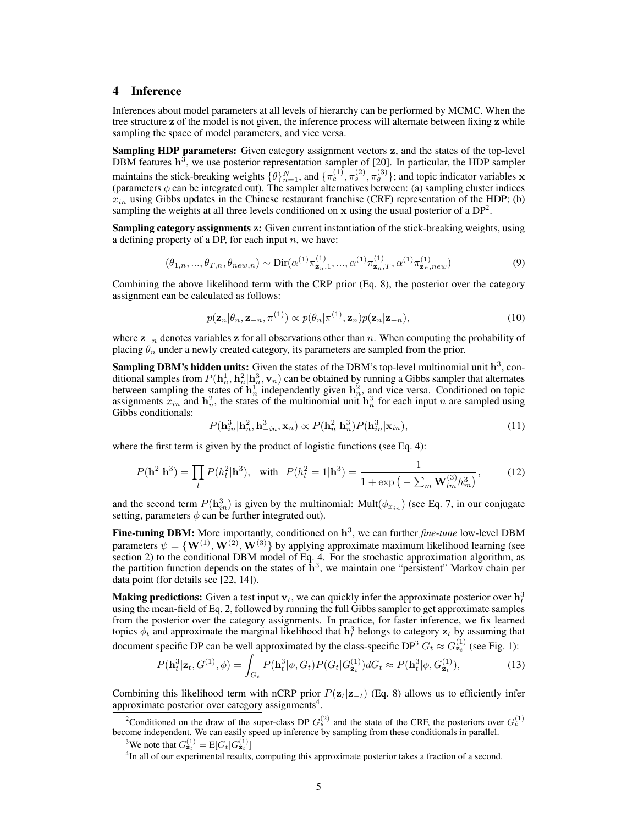# 4 Inference

Inferences about model parameters at all levels of hierarchy can be performed by MCMC. When the tree structure z of the model is not given, the inference process will alternate between fixing z while sampling the space of model parameters, and vice versa.

Sampling HDP parameters: Given category assignment vectors z, and the states of the top-level DBM features  $h^3$ , we use posterior representation sampler of [20]. In particular, the HDP sampler maintains the stick-breaking weights  $\{\theta\}_{n=1}^N$ , and  $\{\pi_c^{(1)}, \pi_s^{(2)}, \pi_g^{(3)}\}$ ; and topic indicator variables x (parameters  $\phi$  can be integrated out). The sampler alternatives between: (a) sampling cluster indices  $x_{in}$  using Gibbs updates in the Chinese restaurant franchise (CRF) representation of the HDP; (b) sampling the weights at all three levels conditioned on  $x$  using the usual posterior of a  $DP<sup>2</sup>$ .

Sampling category assignments z: Given current instantiation of the stick-breaking weights, using a defining property of a DP, for each input  $n$ , we have:

$$
(\theta_{1,n}, ..., \theta_{T,n}, \theta_{new,n}) \sim \text{Dir}(\alpha^{(1)} \pi_{\mathbf{z}_n,1}^{(1)}, ..., \alpha^{(1)} \pi_{\mathbf{z}_n,T}^{(1)}, \alpha^{(1)} \pi_{\mathbf{z}_n,new}^{(1)})
$$
(9)

Combining the above likelihood term with the CRP prior (Eq. 8), the posterior over the category assignment can be calculated as follows:

$$
p(\mathbf{z}_n|\theta_n, \mathbf{z}_{-n}, \pi^{(1)}) \propto p(\theta_n|\pi^{(1)}, \mathbf{z}_n)p(\mathbf{z}_n|\mathbf{z}_{-n}),
$$
\n(10)

where  $z_{-n}$  denotes variables z for all observations other than n. When computing the probability of placing  $\theta_n$  under a newly created category, its parameters are sampled from the prior.

**Sampling DBM's hidden units:** Given the states of the DBM's top-level multinomial unit  $h^3$ , conditional samples from  $P(h_n^1, h_n^2 | h_n^3, v_n)$  can be obtained by running a Gibbs sampler that alternates between sampling the states of  $\mathbf{h}_n^1$  independently given  $\mathbf{h}_n^2$ , and vice versa. Conditioned on topic assignments  $x_{in}$  and  $h_n^2$ , the states of the multinomial unit  $h_n^3$  for each input n are sampled using Gibbs conditionals:

$$
P(\mathbf{h}_{in}^{3}|\mathbf{h}_{n}^{2},\mathbf{h}_{-in}^{3},\mathbf{x}_{n}) \propto P(\mathbf{h}_{n}^{2}|\mathbf{h}_{n}^{3})P(\mathbf{h}_{in}^{3}|\mathbf{x}_{in}),
$$
\n(11)

where the first term is given by the product of logistic functions (see Eq. 4):

$$
P(\mathbf{h}^{2}|\mathbf{h}^{3}) = \prod_{l} P(h_{l}^{2}|\mathbf{h}^{3}), \text{ with } P(h_{l}^{2} = 1|\mathbf{h}^{3}) = \frac{1}{1 + \exp\left(-\sum_{m} \mathbf{W}_{lm}^{(3)} h_{m}^{3}\right)},\tag{12}
$$

and the second term  $P(\mathbf{h}_{in}^3)$  is given by the multinomial: Mult $(\phi_{x_{in}})$  (see Eq. 7, in our conjugate setting, parameters  $\phi$  can be further integrated out).

Fine-tuning DBM: More importantly, conditioned on  $h^3$ , we can further *fine-tune* low-level DBM parameters  $\psi = \{ \mathbf{W}^{(1)}, \mathbf{W}^{(2)}, \mathbf{W}^{(3)} \}$  by applying approximate maximum likelihood learning (see section 2) to the conditional DBM model of Eq. 4. For the stochastic approximation algorithm, as the partition function depends on the states of  $\mathbf{h}^3$ , we maintain one "persistent" Markov chain per data point (for details see [22, 14]).

**Making predictions:** Given a test input  $v_t$ , we can quickly infer the approximate posterior over  $h_t^3$ using the mean-field of Eq. 2, followed by running the full Gibbs sampler to get approximate samples from the posterior over the category assignments. In practice, for faster inference, we fix learned topics  $\phi_t$  and approximate the marginal likelihood that  $h_t^3$  belongs to category  $z_t$  by assuming that document specific DP can be well approximated by the class-specific DP<sup>3</sup>  $G_t \approx G_{\bf z}^{(1)}$  (see Fig. 1):

$$
P(\mathbf{h}_t^3|\mathbf{z}_t, G^{(1)}, \phi) = \int_{G_t} P(\mathbf{h}_t^3|\phi, G_t) P(G_t|G_{\mathbf{z}_t}^{(1)}) dG_t \approx P(\mathbf{h}_t^3|\phi, G_{\mathbf{z}_t}^{(1)}),
$$
\n(13)

Combining this likelihood term with nCRP prior  $P(z_t|z_{-t})$  (Eq. 8) allows us to efficiently infer approximate posterior over category assignments<sup>4</sup>.

<sup>2</sup>Conditioned on the draw of the super-class DP  $G_s^{(2)}$  and the state of the CRF, the posteriors over  $G_c^{(1)}$ become independent. We can easily speed up inference by sampling from these conditionals in parallel.

<sup>3</sup>We note that  $G_{\mathbf{z}_t}^{(1)} = \text{E}[G_t|G_{\mathbf{z}_t}^{(1)}]$ 

<sup>4</sup>In all of our experimental results, computing this approximate posterior takes a fraction of a second.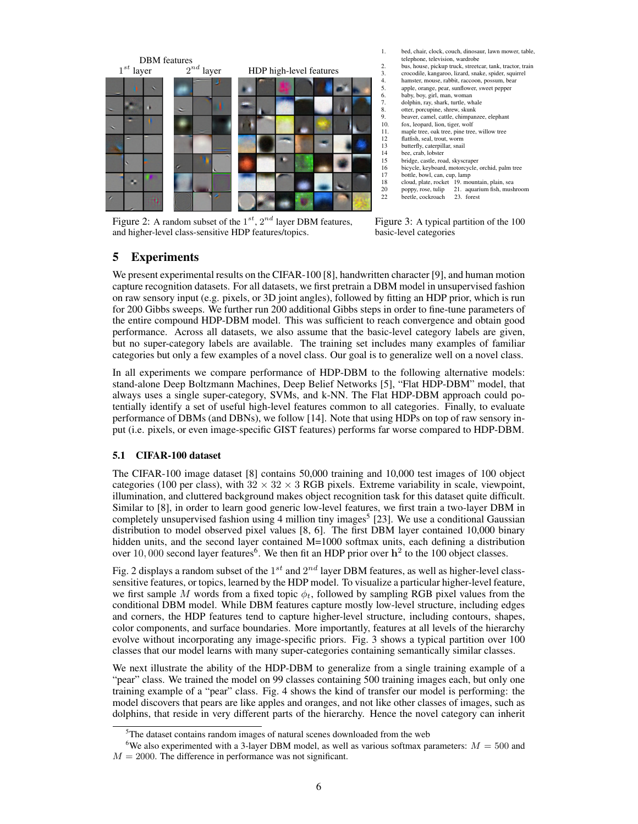

Figure 2: A random subset of the  $1^{st}$ ,  $2^{nd}$  layer DBM features, and higher-level class-sensitive HDP features/topics.



- 
- 13 butterfly, caterpillar, snail<br>14 bee, crab, lobster<br>15 bridge, castle, road, skysc bee, crab, lobster
- 15 bridge, castle, road, skyscraper<br>16 bicycle, keyboard, motorcycle,
- 16 bicycle, keyboard, motorcycle, orchid, palm tree
- 17 bottle, bowl, can, cup, lamp<br>18 cloud, plate, rocket 19, mo
- 18 cloud, plate, rocket 19. mountain, plain, sea<br>20 poppy, rose, tulip 21. aquarium fish, musl
- 20 poppy, rose, tulip 21. aquarium fish, mushroom 22 beetle, cockroach 23. forest

Figure 3: A typical partition of the 100 basic-level categories

# 5 Experiments

We present experimental results on the CIFAR-100 [8], handwritten character [9], and human motion capture recognition datasets. For all datasets, we first pretrain a DBM model in unsupervised fashion on raw sensory input (e.g. pixels, or 3D joint angles), followed by fitting an HDP prior, which is run for 200 Gibbs sweeps. We further run 200 additional Gibbs steps in order to fine-tune parameters of the entire compound HDP-DBM model. This was sufficient to reach convergence and obtain good performance. Across all datasets, we also assume that the basic-level category labels are given, but no super-category labels are available. The training set includes many examples of familiar categories but only a few examples of a novel class. Our goal is to generalize well on a novel class.

In all experiments we compare performance of HDP-DBM to the following alternative models: stand-alone Deep Boltzmann Machines, Deep Belief Networks [5], "Flat HDP-DBM" model, that always uses a single super-category, SVMs, and k-NN. The Flat HDP-DBM approach could potentially identify a set of useful high-level features common to all categories. Finally, to evaluate performance of DBMs (and DBNs), we follow [14]. Note that using HDPs on top of raw sensory input (i.e. pixels, or even image-specific GIST features) performs far worse compared to HDP-DBM.

#### 5.1 CIFAR-100 dataset

The CIFAR-100 image dataset [8] contains 50,000 training and 10,000 test images of 100 object categories (100 per class), with  $32 \times 32 \times 3$  RGB pixels. Extreme variability in scale, viewpoint, illumination, and cluttered background makes object recognition task for this dataset quite difficult. Similar to [8], in order to learn good generic low-level features, we first train a two-layer DBM in completely unsupervised fashion using 4 million tiny images<sup>5</sup> [23]. We use a conditional Gaussian distribution to model observed pixel values [8, 6]. The first DBM layer contained 10,000 binary hidden units, and the second layer contained M=1000 softmax units, each defining a distribution over 10,000 second layer features<sup>6</sup>. We then fit an HDP prior over  $h^2$  to the 100 object classes.

Fig. 2 displays a random subset of the  $1^{st}$  and  $2^{nd}$  layer DBM features, as well as higher-level classsensitive features, or topics, learned by the HDP model. To visualize a particular higher-level feature, we first sample M words from a fixed topic  $\phi_t$ , followed by sampling RGB pixel values from the conditional DBM model. While DBM features capture mostly low-level structure, including edges and corners, the HDP features tend to capture higher-level structure, including contours, shapes, color components, and surface boundaries. More importantly, features at all levels of the hierarchy evolve without incorporating any image-specific priors. Fig. 3 shows a typical partition over 100 classes that our model learns with many super-categories containing semantically similar classes.

We next illustrate the ability of the HDP-DBM to generalize from a single training example of a "pear" class. We trained the model on 99 classes containing 500 training images each, but only one training example of a "pear" class. Fig. 4 shows the kind of transfer our model is performing: the model discovers that pears are like apples and oranges, and not like other classes of images, such as dolphins, that reside in very different parts of the hierarchy. Hence the novel category can inherit

 $5$ The dataset contains random images of natural scenes downloaded from the web

<sup>&</sup>lt;sup>6</sup>We also experimented with a 3-layer DBM model, as well as various softmax parameters:  $M = 500$  and  $M = 2000$ . The difference in performance was not significant.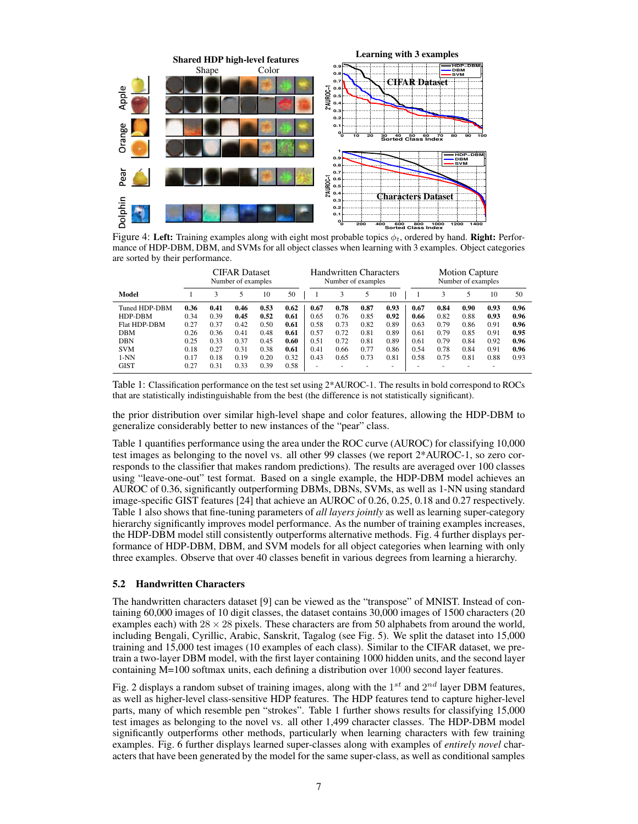

Figure 4: Left: Training examples along with eight most probable topics  $\phi_t$ , ordered by hand. Right: Performance of HDP-DBM, DBM, and SVMs for all object classes when learning with 3 examples. Object categories are sorted by their performance.

|               | <b>CIFAR Dataset</b><br>Number of examples |      |      |      |      | <b>Handwritten Characters</b><br>Number of examples |      |                          |      | <b>Motion Capture</b><br>Number of examples |      |      |      |      |
|---------------|--------------------------------------------|------|------|------|------|-----------------------------------------------------|------|--------------------------|------|---------------------------------------------|------|------|------|------|
| Model         |                                            | 3    |      | 10   | 50   |                                                     |      | 5                        | 10   |                                             |      | 5    | 10   | 50   |
| Tuned HDP-DBM | 0.36                                       | 0.41 | 0.46 | 0.53 | 0.62 | 0.67                                                | 0.78 | 0.87                     | 0.93 | 0.67                                        | 0.84 | 0.90 | 0.93 | 0.96 |
| HDP-DBM       | 0.34                                       | 0.39 | 0.45 | 0.52 | 0.61 | 0.65                                                | 0.76 | 0.85                     | 0.92 | 0.66                                        | 0.82 | 0.88 | 0.93 | 0.96 |
| Flat HDP-DBM  | 0.27                                       | 0.37 | 0.42 | 0.50 | 0.61 | 0.58                                                | 0.73 | 0.82                     | 0.89 | 0.63                                        | 0.79 | 0.86 | 0.91 | 0.96 |
| <b>DBM</b>    | 0.26                                       | 0.36 | 0.41 | 0.48 | 0.61 | 0.57                                                | 0.72 | 0.81                     | 0.89 | 0.61                                        | 0.79 | 0.85 | 0.91 | 0.95 |
| <b>DBN</b>    | 0.25                                       | 0.33 | 0.37 | 0.45 | 0.60 | 0.51                                                | 0.72 | 0.81                     | 0.89 | 0.61                                        | 0.79 | 0.84 | 0.92 | 0.96 |
| <b>SVM</b>    | 0.18                                       | 0.27 | 0.31 | 0.38 | 0.61 | 0.41                                                | 0.66 | 0.77                     | 0.86 | 0.54                                        | 0.78 | 0.84 | 0.91 | 0.96 |
| $1-NN$        | 0.17                                       | 0.18 | 0.19 | 0.20 | 0.32 | 0.43                                                | 0.65 | 0.73                     | 0.81 | 0.58                                        | 0.75 | 0.81 | 0.88 | 0.93 |
| <b>GIST</b>   | 0.27                                       | 0.31 | 0.33 | 0.39 | 0.58 | $\overline{\phantom{a}}$                            |      | $\overline{\phantom{a}}$ | ۰    | -                                           |      | ٠    | ۰    |      |

Table 1: Classification performance on the test set using 2\*AUROC-1. The results in bold correspond to ROCs that are statistically indistinguishable from the best (the difference is not statistically significant).

the prior distribution over similar high-level shape and color features, allowing the HDP-DBM to generalize considerably better to new instances of the "pear" class.

Table 1 quantifies performance using the area under the ROC curve (AUROC) for classifying 10,000 test images as belonging to the novel vs. all other 99 classes (we report 2\*AUROC-1, so zero corresponds to the classifier that makes random predictions). The results are averaged over 100 classes using "leave-one-out" test format. Based on a single example, the HDP-DBM model achieves an AUROC of 0.36, significantly outperforming DBMs, DBNs, SVMs, as well as 1-NN using standard image-specific GIST features [24] that achieve an AUROC of 0.26, 0.25, 0.18 and 0.27 respectively. Table 1 also shows that fine-tuning parameters of *all layers jointly* as well as learning super-category hierarchy significantly improves model performance. As the number of training examples increases, the HDP-DBM model still consistently outperforms alternative methods. Fig. 4 further displays performance of HDP-DBM, DBM, and SVM models for all object categories when learning with only three examples. Observe that over 40 classes benefit in various degrees from learning a hierarchy.

## 5.2 Handwritten Characters

The handwritten characters dataset [9] can be viewed as the "transpose" of MNIST. Instead of containing 60,000 images of 10 digit classes, the dataset contains 30,000 images of 1500 characters (20 examples each) with  $28 \times 28$  pixels. These characters are from 50 alphabets from around the world, including Bengali, Cyrillic, Arabic, Sanskrit, Tagalog (see Fig. 5). We split the dataset into 15,000 training and 15,000 test images (10 examples of each class). Similar to the CIFAR dataset, we pretrain a two-layer DBM model, with the first layer containing 1000 hidden units, and the second layer containing M=100 softmax units, each defining a distribution over 1000 second layer features.

Fig. 2 displays a random subset of training images, along with the  $1^{st}$  and  $2^{nd}$  layer DBM features, as well as higher-level class-sensitive HDP features. The HDP features tend to capture higher-level parts, many of which resemble pen "strokes". Table 1 further shows results for classifying 15,000 test images as belonging to the novel vs. all other 1,499 character classes. The HDP-DBM model significantly outperforms other methods, particularly when learning characters with few training examples. Fig. 6 further displays learned super-classes along with examples of *entirely novel* characters that have been generated by the model for the same super-class, as well as conditional samples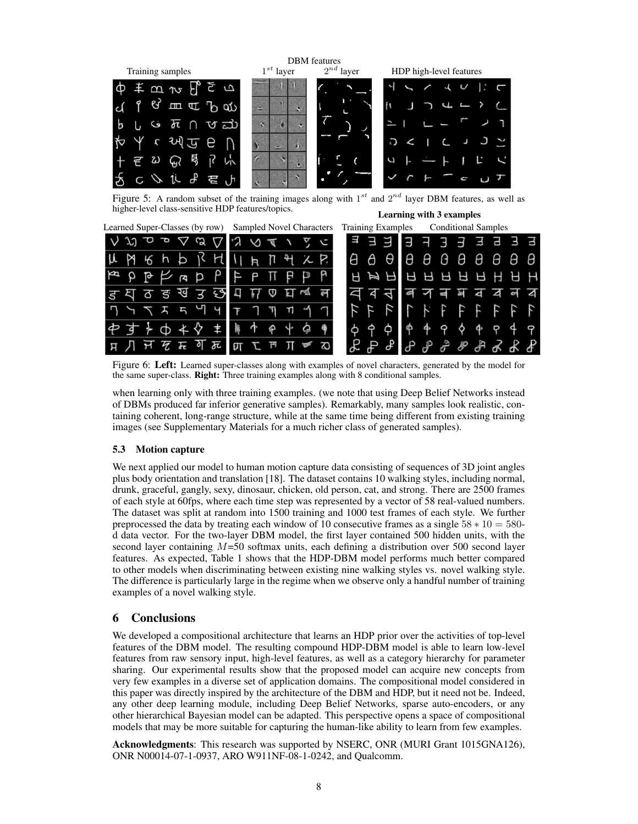

Figure 5: A random subset of the training images along with  $1^{st}$  and  $2^{nd}$  layer DBM features, as well as higher-level class-sensitive HDP features/topics. Learning with 3 examples

| Learned Super-Classes (by row) Sampled Novel Characters     |                                                   | <b>Conditional Samples</b><br><b>Training Examples</b>                       |
|-------------------------------------------------------------|---------------------------------------------------|------------------------------------------------------------------------------|
| $\mathfrak{V} \circ \mathfrak{L} \circ \Delta \mathfrak{L}$ | クマハクロ                                             | 3 3 3 3 3<br>T3.<br>Э                                                        |
| んとうしょう                                                      | 11 月 卩 刊 人 P.                                     | $\theta$ $\theta$ $\theta$ $\theta$<br>θ θ<br>A<br>е е е<br>Ô                |
| P P P A P P                                                 | FPTP<br>$\mathbb{R}$ $\mathbb{R}$                 | BARRARAHAH                                                                   |
| <i>हु</i> य ठ ङ ख उ छ                                       | A<br>Θ<br>$\overline{M}$                          | 7日<br>i<br>Ka<br>$\sum$ of<br>q<br>$\overline{a}$                            |
| 7 7 7 7 5 7 9 9                                             | $T$ $T$<br>$\overline{r}$<br>$\tau$<br><b>THE</b> |                                                                              |
| ⊹ ∢<br>$\Phi$ $\star$                                       | P<br>擤<br>$\omega$                                | $\varphi$ $\varphi$ $\varphi$<br>44<br>Ô.<br>$\varphi$<br>φ<br>ф<br>$\sigma$ |
| े म्ह<br>瓦<br>ठा<br>ਾਜ                                      | てっ                                                | $P$ $P$ $P$ $P$ $P$<br>சி                                                    |

Figure 6: Left: Learned super-classes along with examples of novel characters, generated by the model for the same super-class. Right: Three training examples along with 8 conditional samples.

when learning only with three training examples. (we note that using Deep Belief Networks instead of DBMs produced far inferior generative samples). Remarkably, many samples look realistic, containing coherent, long-range structure, while at the same time being different from existing training images (see Supplementary Materials for a much richer class of generated samples).

# 5.3 Motion capture

We next applied our model to human motion capture data consisting of sequences of 3D joint angles plus body orientation and translation [18]. The dataset contains 10 walking styles, including normal, drunk, graceful, gangly, sexy, dinosaur, chicken, old person, cat, and strong. There are 2500 frames of each style at 60fps, where each time step was represented by a vector of 58 real-valued numbers. The dataset was split at random into 1500 training and 1000 test frames of each style. We further preprocessed the data by treating each window of 10 consecutive frames as a single  $58 * 10 = 580$ d data vector. For the two-layer DBM model, the first layer contained 500 hidden units, with the second layer containing  $M=50$  softmax units, each defining a distribution over 500 second layer features. As expected, Table 1 shows that the HDP-DBM model performs much better compared to other models when discriminating between existing nine walking styles vs. novel walking style. The difference is particularly large in the regime when we observe only a handful number of training examples of a novel walking style.

# 6 Conclusions

We developed a compositional architecture that learns an HDP prior over the activities of top-level features of the DBM model. The resulting compound HDP-DBM model is able to learn low-level features from raw sensory input, high-level features, as well as a category hierarchy for parameter sharing. Our experimental results show that the proposed model can acquire new concepts from very few examples in a diverse set of application domains. The compositional model considered in this paper was directly inspired by the architecture of the DBM and HDP, but it need not be. Indeed, any other deep learning module, including Deep Belief Networks, sparse auto-encoders, or any other hierarchical Bayesian model can be adapted. This perspective opens a space of compositional models that may be more suitable for capturing the human-like ability to learn from few examples.

Acknowledgments: This research was supported by NSERC, ONR (MURI Grant 1015GNA126), ONR N00014-07-1-0937, ARO W911NF-08-1-0242, and Qualcomm.